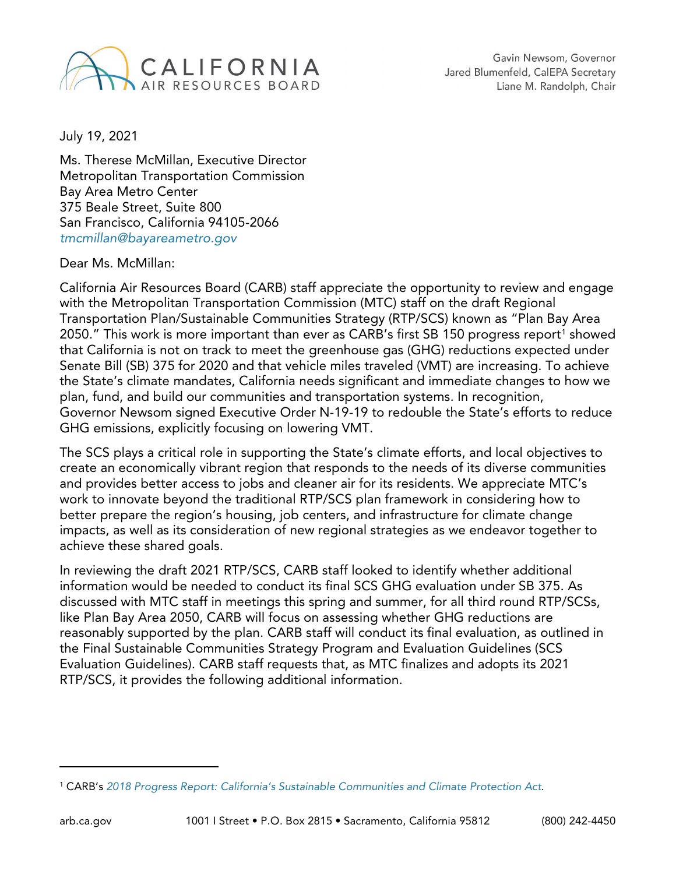

July 19, 2021

Ms. Therese McMillan, Executive Director Metropolitan Transportation Commission Bay Area Metro Center 375 Beale Street, Suite 800 San Francisco, California 94105-2066 *[tmcmillan@bayareametro.gov](mailto:tmcmillan@bayareametro.gov)*

#### Dear Ms. McMillan:

California Air Resources Board (CARB) staff appreciate the opportunity to review and engage with the Metropolitan Transportation Commission (MTC) staff on the draft Regional Transportation Plan/Sustainable Communities Strategy (RTP/SCS) known as "Plan Bay Area 2050." This work is more important than ever as CARB's first SB [1](#page-0-0)50 progress report<sup>1</sup> showed that California is not on track to meet the greenhouse gas (GHG) reductions expected under Senate Bill (SB) 375 for 2020 and that vehicle miles traveled (VMT) are increasing. To achieve the State's climate mandates, California needs significant and immediate changes to how we plan, fund, and build our communities and transportation systems. In recognition, Governor Newsom signed Executive Order N-19-19 to redouble the State's efforts to reduce GHG emissions, explicitly focusing on lowering VMT.

The SCS plays a critical role in supporting the State's climate efforts, and local objectives to create an economically vibrant region that responds to the needs of its diverse communities and provides better access to jobs and cleaner air for its residents. We appreciate MTC's work to innovate beyond the traditional RTP/SCS plan framework in considering how to better prepare the region's housing, job centers, and infrastructure for climate change impacts, as well as its consideration of new regional strategies as we endeavor together to achieve these shared goals.

In reviewing the draft 2021 RTP/SCS, CARB staff looked to identify whether additional information would be needed to conduct its final SCS GHG evaluation under SB 375. As discussed with MTC staff in meetings this spring and summer, for all third round RTP/SCSs, like Plan Bay Area 2050, CARB will focus on assessing whether GHG reductions are reasonably supported by the plan. CARB staff will conduct its final evaluation, as outlined in the Final Sustainable Communities Strategy Program and [Evaluation Guidelines](https://ww2.arb.ca.gov/sites/default/files/2019-11/Final%20SCS%20Program%20and%20Evaluation%20Guidelines%20Report.pdf) (SCS Evaluation Guidelines). CARB staff requests that, as MTC finalizes and adopts its 2021 RTP/SCS, it provides the following additional information.

<span id="page-0-0"></span><sup>1</sup> CARB's *2018 Progress Report: California's Sustainable [Communities](https://ww2.arb.ca.gov/resources/documents/tracking-progress) and Climate Protection Act*.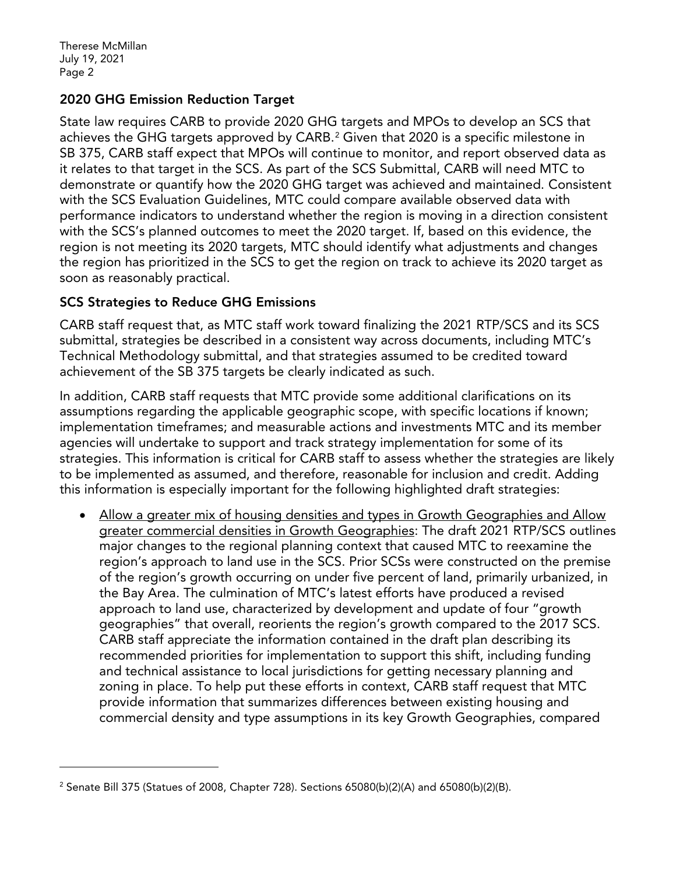Therese McMillan July 19, 2021 Page 2

## 2020 GHG Emission Reduction Target

State law requires CARB to provide 2020 GHG targets and MPOs to develop an SCS that achieves the GHG targets approved by CARB.<sup>[2](#page-1-0)</sup> Given that 2020 is a specific milestone in SB 375, CARB staff expect that MPOs will continue to monitor, and report observed data as it relates to that target in the SCS. As part of the SCS Submittal, CARB will need MTC to demonstrate or quantify how the 2020 GHG target was achieved and maintained. Consistent with the SCS Evaluation Guidelines, MTC could compare available observed data with performance indicators to understand whether the region is moving in a direction consistent with the SCS's planned outcomes to meet the 2020 target. If, based on this evidence, the region is not meeting its 2020 targets, MTC should identify what adjustments and changes the region has prioritized in the SCS to get the region on track to achieve its 2020 target as soon as reasonably practical.

### SCS Strategies to Reduce GHG Emissions

CARB staff request that, as MTC staff work toward finalizing the 2021 RTP/SCS and its SCS submittal, strategies be described in a consistent way across documents, including MTC's Technical Methodology submittal, and that strategies assumed to be credited toward achievement of the SB 375 targets be clearly indicated as such.

In addition, CARB staff requests that MTC provide some additional clarifications on its assumptions regarding the applicable geographic scope, with specific locations if known; implementation timeframes; and measurable actions and investments MTC and its member agencies will undertake to support and track strategy implementation for some of its strategies. This information is critical for CARB staff to assess whether the strategies are likely to be implemented as assumed, and therefore, reasonable for inclusion and credit. Adding this information is especially important for the following highlighted draft strategies:

• Allow a greater mix of housing densities and types in Growth Geographies and Allow greater commercial densities in Growth Geographies: The draft 2021 RTP/SCS outlines major changes to the regional planning context that caused MTC to reexamine the region's approach to land use in the SCS. Prior SCSs were constructed on the premise of the region's growth occurring on under five percent of land, primarily urbanized, in the Bay Area. The culmination of MTC's latest efforts have produced a revised approach to land use, characterized by development and update of four "growth geographies" that overall, reorients the region's growth compared to the 2017 SCS. CARB staff appreciate the information contained in the draft plan describing its recommended priorities for implementation to support this shift, including funding and technical assistance to local jurisdictions for getting necessary planning and zoning in place. To help put these efforts in context, CARB staff request that MTC provide information that summarizes differences between existing housing and commercial density and type assumptions in its key Growth Geographies, compared

<span id="page-1-0"></span><sup>&</sup>lt;sup>2</sup> Senate Bill 375 (Statues of 2008, Chapter 728). Sections 65080(b)(2)(A) and 65080(b)(2)(B).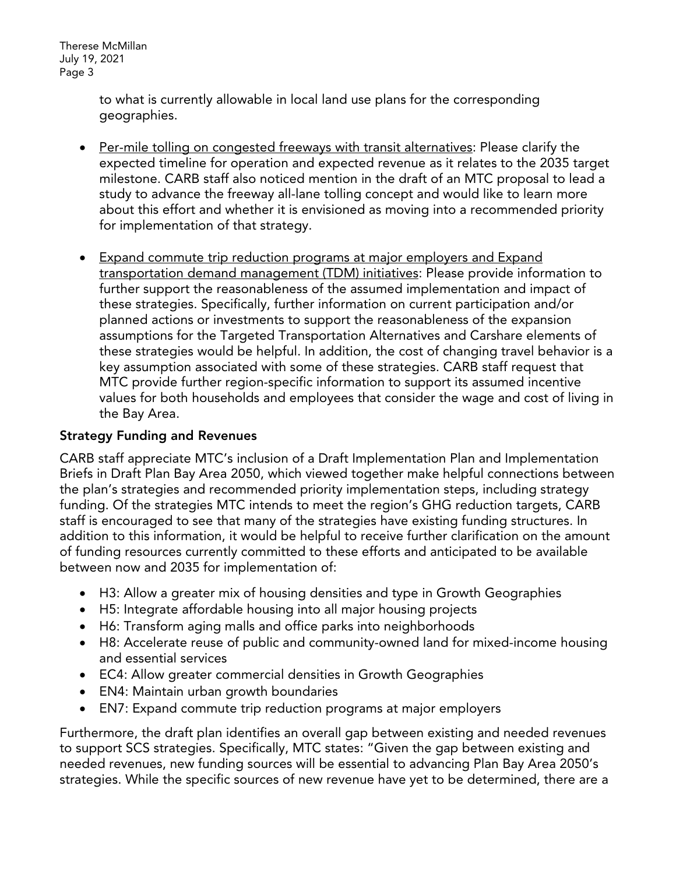Therese McMillan July 19, 2021 Page 3

> to what is currently allowable in local land use plans for the corresponding geographies.

- Per-mile tolling on congested freeways with transit alternatives: Please clarify the expected timeline for operation and expected revenue as it relates to the 2035 target milestone. CARB staff also noticed mention in the draft of an MTC proposal to lead a study to advance the freeway all-lane tolling concept and would like to learn more about this effort and whether it is envisioned as moving into a recommended priority for implementation of that strategy.
- Expand commute trip reduction programs at major employers and Expand transportation demand management (TDM) initiatives: Please provide information to further support the reasonableness of the assumed implementation and impact of these strategies. Specifically, further information on current participation and/or planned actions or investments to support the reasonableness of the expansion assumptions for the Targeted Transportation Alternatives and Carshare elements of these strategies would be helpful. In addition, the cost of changing travel behavior is a key assumption associated with some of these strategies. CARB staff request that MTC provide further region-specific information to support its assumed incentive values for both households and employees that consider the wage and cost of living in the Bay Area.

## Strategy Funding and Revenues

CARB staff appreciate MTC's inclusion of a Draft Implementation Plan and Implementation Briefs in Draft Plan Bay Area 2050, which viewed together make helpful connections between the plan's strategies and recommended priority implementation steps, including strategy funding. Of the strategies MTC intends to meet the region's GHG reduction targets, CARB staff is encouraged to see that many of the strategies have existing funding structures. In addition to this information, it would be helpful to receive further clarification on the amount of funding resources currently committed to these efforts and anticipated to be available between now and 2035 for implementation of:

- H3: Allow a greater mix of housing densities and type in Growth Geographies
- H5: Integrate affordable housing into all major housing projects
- H6: Transform aging malls and office parks into neighborhoods
- H8: Accelerate reuse of public and community-owned land for mixed-income housing and essential services
- EC4: Allow greater commercial densities in Growth Geographies
- EN4: Maintain urban growth boundaries
- EN7: Expand commute trip reduction programs at major employers

Furthermore, the draft plan identifies an overall gap between existing and needed revenues to support SCS strategies. Specifically, MTC states: "Given the gap between existing and needed revenues, new funding sources will be essential to advancing Plan Bay Area 2050's strategies. While the specific sources of new revenue have yet to be determined, there are a